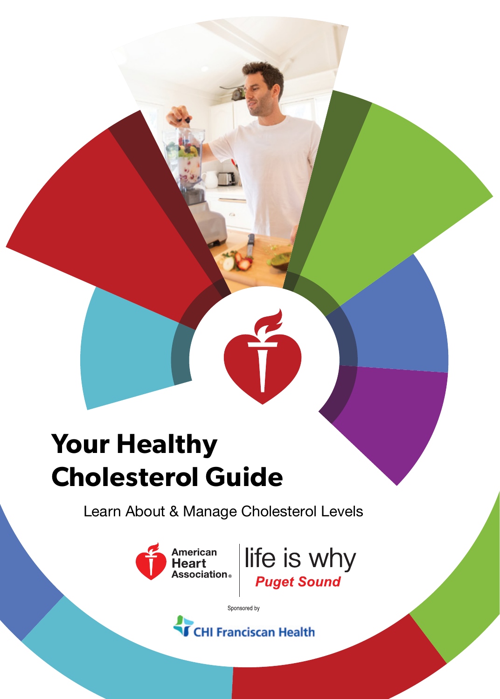### **Your Healthy Cholesterol Guide**

Learn About & Manage Cholesterol Levels





Sponsored by **CHI Franciscan Health**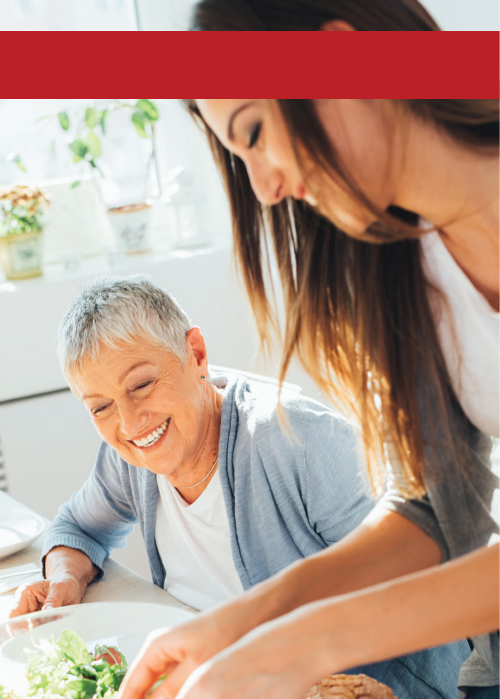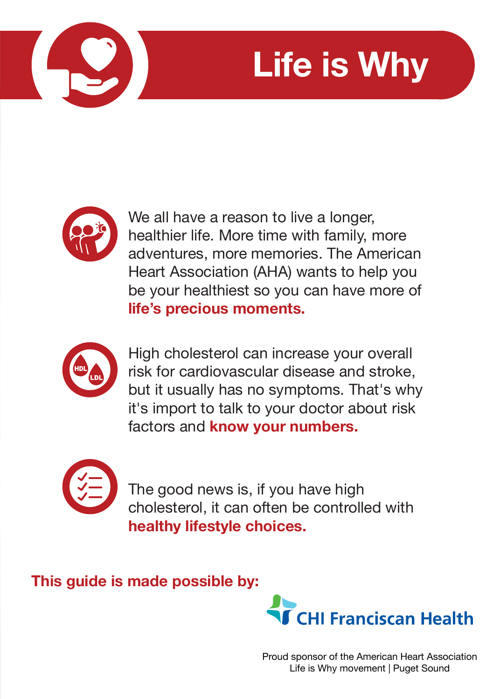

# **Life is Why**



We all have a reason to live a longer, healthier life. More time with family, more adventures, more memories. The American Heart Association (AHA) wants to help you be your healthiest so you can have more of **life's precious moments.**



High cholesterol can increase your overall risk for cardiovascular disease and stroke, but it usually has no symptoms. That's why it's import to talk to your doctor about risk factors and **know your numbers.** 



The good news is, if you have high cholesterol, it can often be controlled with **healthy lifestyle choices.**

**This guide is made possible by:**



Proud sponsor of the American Heart Association Life is Why movement | Puget Sound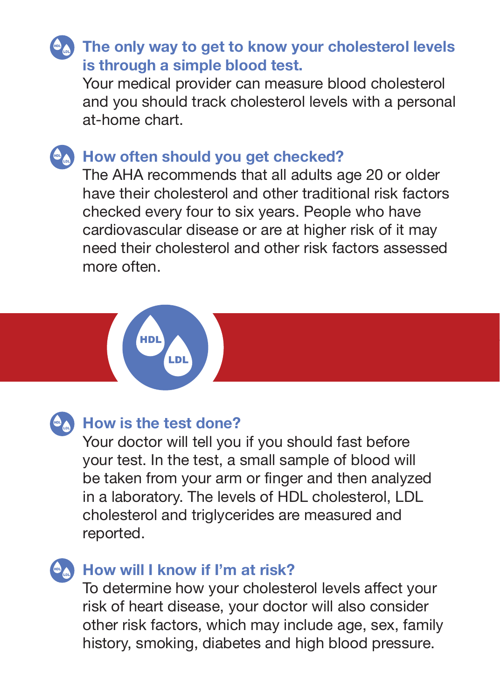### **The only way to get to know your cholesterol levels is through a simple blood test.**

Your medical provider can measure blood cholesterol and you should track cholesterol levels with a personal at-home chart.

### **E** How often should you get checked?

The AHA recommends that all adults age 20 or older have their cholesterol and other traditional risk factors checked every four to six years. People who have cardiovascular disease or are at higher risk of it may need their cholesterol and other risk factors assessed more often.

### **How is the test done?**

**HDL** 

Your doctor will tell you if you should fast before your test. In the test, a small sample of blood will be taken from your arm or finger and then analyzed in a laboratory. The levels of HDL cholesterol, LDL cholesterol and triglycerides are measured and reported.

### **EX** How will I know if I'm at risk?

To determine how your cholesterol levels affect your risk of heart disease, your doctor will also consider other risk factors, which may include age, sex, family history, smoking, diabetes and high blood pressure.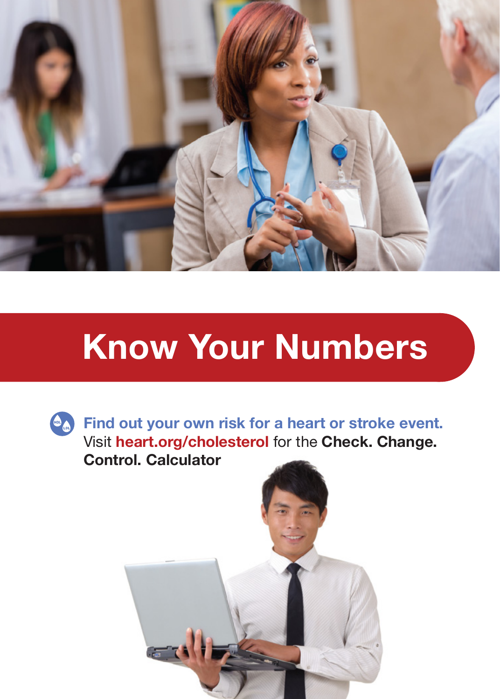

### **Know Your Numbers**

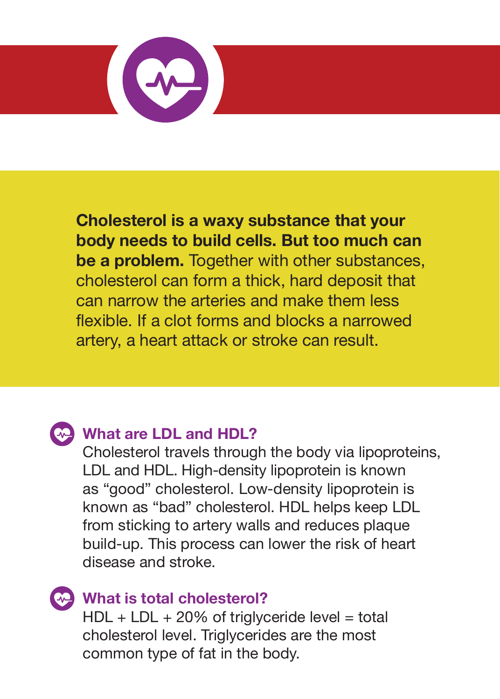

**Cholesterol is a waxy substance that your body needs to build cells. But too much can be a problem.** Together with other substances, cholesterol can form a thick, hard deposit that can narrow the arteries and make them less flexible. If a clot forms and blocks a narrowed artery, a heart attack or stroke can result.

### **What are LDL and HDL?**

Cholesterol travels through the body via lipoproteins, LDL and HDL. High-density lipoprotein is known as "good" cholesterol. Low-density lipoprotein is known as "bad" cholesterol. HDL helps keep LDL from sticking to artery walls and reduces plaque build-up. This process can lower the risk of heart disease and stroke.

### **What is total cholesterol?**

 $HDL + LDL + 20%$  of triglyceride level = total cholesterol level. Triglycerides are the most common type of fat in the body.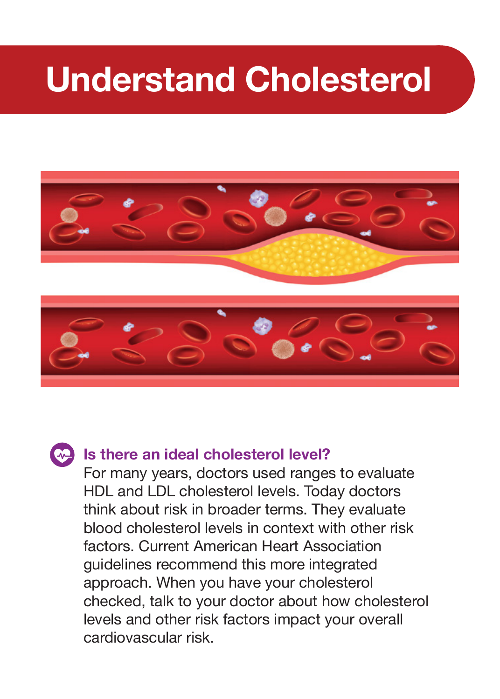### **Understand Cholesterol**





#### **Is there an ideal cholesterol level?**

For many years, doctors used ranges to evaluate HDL and LDL cholesterol levels. Today doctors think about risk in broader terms. They evaluate blood cholesterol levels in context with other risk factors. Current American Heart Association guidelines recommend this more integrated approach. When you have your cholesterol checked, talk to your doctor about how cholesterol levels and other risk factors impact your overall cardiovascular risk.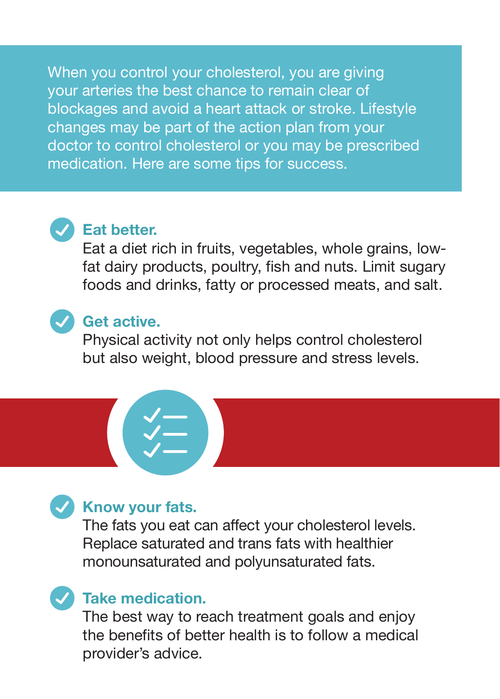When you control your cholesterol, you are giving your arteries the best chance to remain clear of blockages and avoid a heart attack or stroke. Lifestyle changes may be part of the action plan from your doctor to control cholesterol or you may be prescribed medication. Here are some tips for success.



### **Eat better.**

Eat a diet rich in fruits, vegetables, whole grains, lowfat dairy products, poultry, fish and nuts. Limit sugary foods and drinks, fatty or processed meats, and salt.



#### **Get active.**

Physical activity not only helps control cholesterol but also weight, blood pressure and stress levels.





### **Know your fats.**

The fats you eat can affect your cholesterol levels. Replace saturated and trans fats with healthier monounsaturated and polyunsaturated fats.

### **Take medication.**

The best way to reach treatment goals and enjoy the benefits of better health is to follow a medical provider's advice.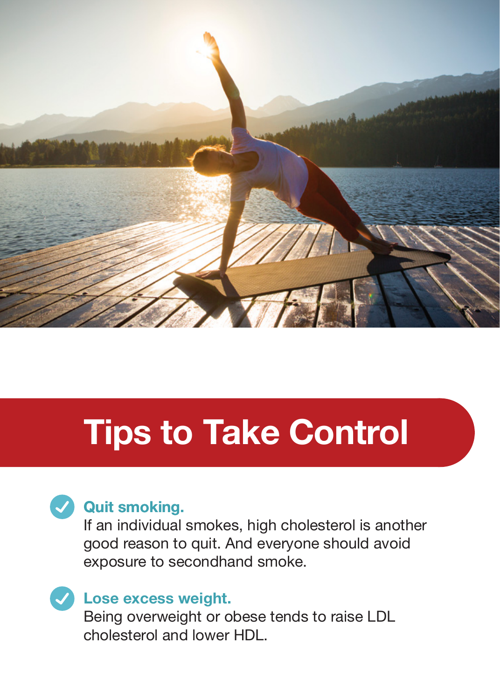

# **Tips to Take Control**

### **Quit smoking.**

If an individual smokes, high cholesterol is another good reason to quit. And everyone should avoid exposure to secondhand smoke.

### **Lose excess weight.**

Being overweight or obese tends to raise LDL cholesterol and lower HDL.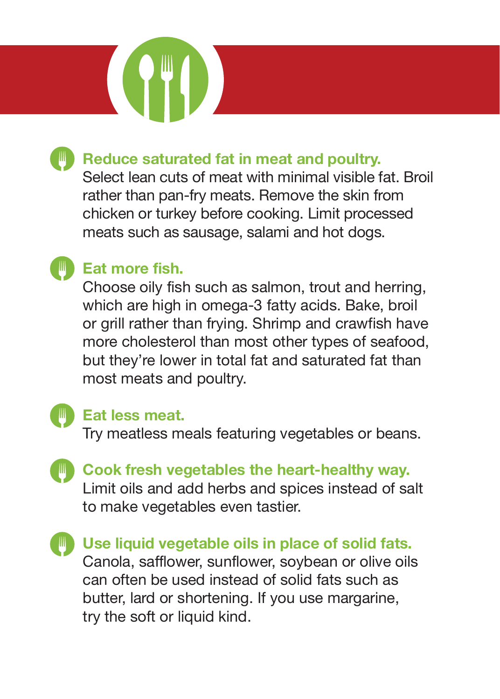

### **Reduce saturated fat in meat and poultry.**

Select lean cuts of meat with minimal visible fat. Broil rather than pan-fry meats. Remove the skin from chicken or turkey before cooking. Limit processed meats such as sausage, salami and hot dogs.



### **Eat more fish.**

Choose oily fish such as salmon, trout and herring, which are high in omega-3 fatty acids. Bake, broil or grill rather than frying. Shrimp and crawfish have more cholesterol than most other types of seafood, but they're lower in total fat and saturated fat than most meats and poultry.



### **Eat less meat.**

Try meatless meals featuring vegetables or beans.

- **Cook fresh vegetables the heart-healthy way.**  Limit oils and add herbs and spices instead of salt to make vegetables even tastier.
- **Use liquid vegetable oils in place of solid fats.** Canola, safflower, sunflower, soybean or olive oils can often be used instead of solid fats such as butter, lard or shortening. If you use margarine, try the soft or liquid kind.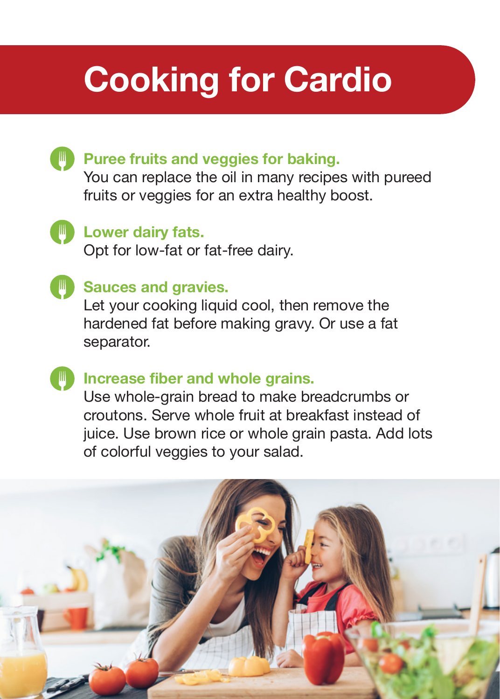# **Cooking for Cardio**

### **Puree fruits and veggies for baking.**

You can replace the oil in many recipes with pureed fruits or veggies for an extra healthy boost.

### **Lower dairy fats.**

Opt for low-fat or fat-free dairy.

### **Sauces and gravies.**

Let your cooking liquid cool, then remove the hardened fat before making gravy. Or use a fat separator.

### **Increase fiber and whole grains.**

Use whole-grain bread to make breadcrumbs or croutons. Serve whole fruit at breakfast instead of juice. Use brown rice or whole grain pasta. Add lots of colorful veggies to your salad.